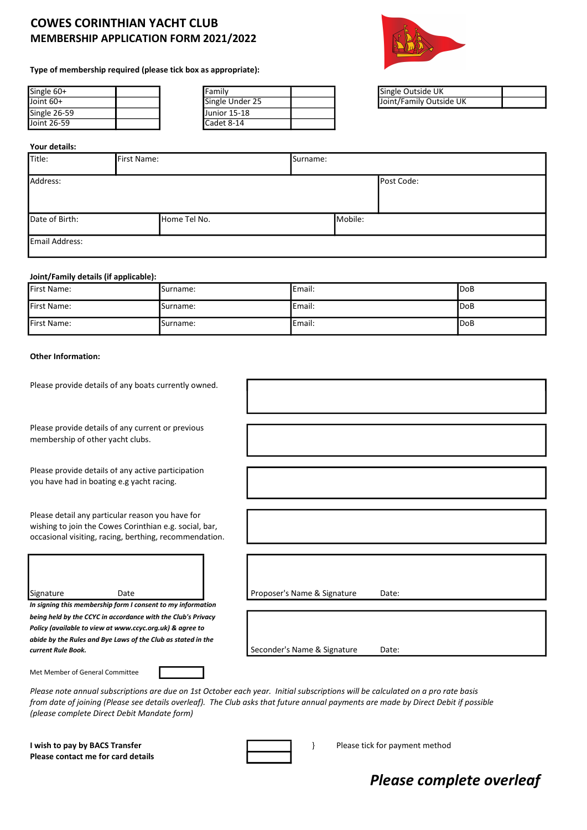## COWES CORINTHIAN YACHT CLUB MEMBERSHIP APPLICATION FORM 2021/2022



#### Type of membership required (please tick box as appropriate):

| Single 60+   |  | <b>I</b> Family |
|--------------|--|-----------------|
| Joint 60+    |  | Single Under    |
| Single 26-59 |  | Uunior 15-18    |
| Joint 26-59  |  | Cadet 8-14      |

| Single 60+   | lFamilv         | <b>I</b> Single Outside UK |
|--------------|-----------------|----------------------------|
| Joint 60+    | Single Under 25 | IJoint/Family Outside UK   |
| Single 26-59 | Uunior 15-18    |                            |
| Joint 26-59  | lCadet 8-14     |                            |

| Single Outside UK       |  |
|-------------------------|--|
| Joint/Family Outside UK |  |

#### Your details:

| Title:         | First Name: |              | Surname: |         |            |
|----------------|-------------|--------------|----------|---------|------------|
| Address:       |             |              |          |         | Post Code: |
| Date of Birth: |             | Home Tel No. |          | Mobile: |            |
| Email Address: |             |              |          |         |            |

#### Joint/Family details (if applicable):

| First Name: | Surname: | <b>IEmail:</b>  | <b>IDoB</b> |
|-------------|----------|-----------------|-------------|
| First Name: | Surname: | <b>IEmail:</b>  | <b>IDoB</b> |
| First Name: | Surname: | <b>I</b> Email: | <b>IDoB</b> |

#### Other Information:

| Please provide details of any boats currently owned. |  |
|------------------------------------------------------|--|
|------------------------------------------------------|--|

Please provide details of any current or previous membership of other yacht clubs.

Please provide details of any active participation you have had in boating e.g yacht racing.

Please detail any particular reason you have for wishing to join the Cowes Corinthian e.g. social, bar, occasional visiting, racing, berthing, recommendation.

| Signature | Date                                                        | Proposer's Name & Signature | Date: |
|-----------|-------------------------------------------------------------|-----------------------------|-------|
|           | In signing this membership form I consent to my information |                             |       |

being held by the CCYC in accordance with the Club's Privacy Policy (available to view at www.ccyc.org.uk) & agree to abide by the Rules and Bye Laws of the Club as stated in the current Rule Book. **Seconder's Name & Signature** Date:

| Proposer's Name & Signature | Date: |  |
|-----------------------------|-------|--|
|                             |       |  |
|                             |       |  |
|                             |       |  |

Met Member of General Committee

Please note annual subscriptions are due on 1st October each year. Initial subscriptions will be calculated on a pro rate basis from date of joining (Please see details overleaf). The Club asks that future annual payments are made by Direct Debit if possible (please complete Direct Debit Mandate form)

I wish to pay by BACS Transfer **Exercise 2008** Please tick for payment method Please contact me for card details



# Please complete overleaf